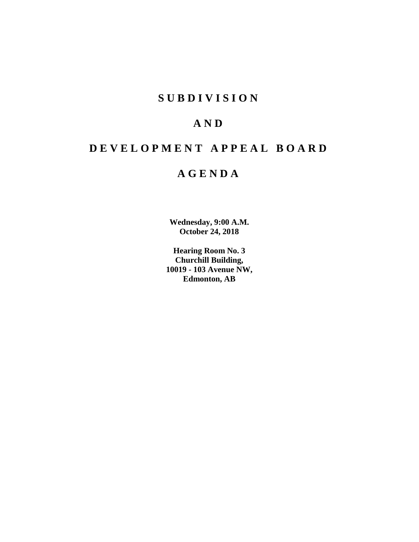# **SUBDIVISION**

# **AND**

# **DEVELOPMENT APPEAL BOARD**

# **AGENDA**

**Wednesday, 9:00 A.M. October 24, 2018**

**Hearing Room No. 3 Churchill Building, 10019 - 103 Avenue NW, Edmonton, AB**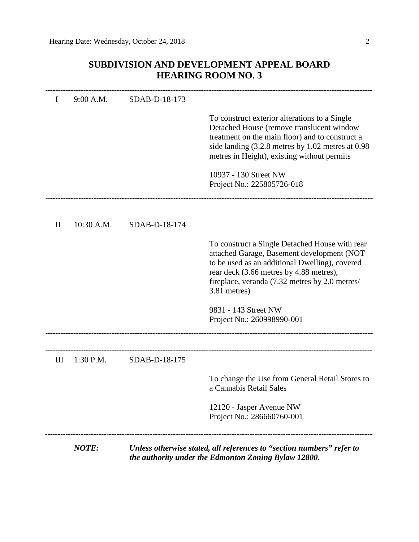# **SUBDIVISION AND DEVELOPMENT APPEAL BOARD HEARING ROOM NO. 3**

|              | NOTE:       |               | Unless otherwise stated, all references to "section numbers" refer to<br>the authority under the Edmonton Zoning Bylaw 12800.                                                                                                                               |
|--------------|-------------|---------------|-------------------------------------------------------------------------------------------------------------------------------------------------------------------------------------------------------------------------------------------------------------|
|              |             |               | 12120 - Jasper Avenue NW<br>Project No.: 286660760-001                                                                                                                                                                                                      |
|              |             |               | To change the Use from General Retail Stores to<br>a Cannabis Retail Sales                                                                                                                                                                                  |
| III          | $1:30$ P.M. | SDAB-D-18-175 |                                                                                                                                                                                                                                                             |
|              |             |               | 9831 - 143 Street NW<br>Project No.: 260998990-001                                                                                                                                                                                                          |
|              |             |               | To construct a Single Detached House with rear<br>attached Garage, Basement development (NOT<br>to be used as an additional Dwelling), covered<br>rear deck (3.66 metres by 4.88 metres),<br>fireplace, veranda (7.32 metres by 2.0 metres/<br>3.81 metres) |
| $\mathbf{I}$ | 10:30 A.M.  | SDAB-D-18-174 |                                                                                                                                                                                                                                                             |
|              |             |               | 10937 - 130 Street NW<br>Project No.: 225805726-018                                                                                                                                                                                                         |
|              |             |               | To construct exterior alterations to a Single<br>Detached House (remove translucent window<br>treatment on the main floor) and to construct a<br>side landing $(3.2.8$ metres by 1.02 metres at 0.98<br>metres in Height), existing without permits         |
|              | 9:00 A.M.   | SDAB-D-18-173 |                                                                                                                                                                                                                                                             |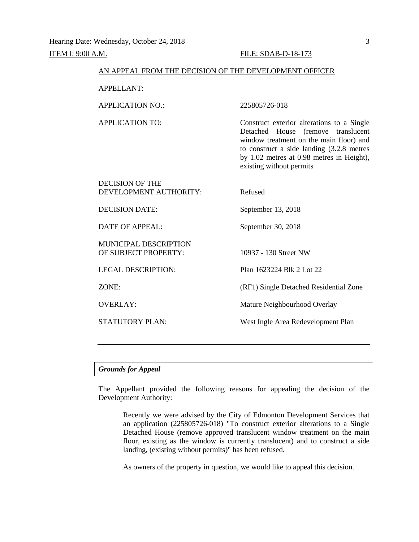#### AN APPEAL FROM THE DECISION OF THE DEVELOPMENT OFFICER

APPELLANT:

APPLICATION NO.: 225805726-018

APPLICATION TO: Construct exterior alterations to a Single Detached House (remove translucent window treatment on the main floor) and to construct a side landing (3.2.8 metres by 1.02 metres at 0.98 metres in Height), existing without permits

DECISION OF THE DEVELOPMENT AUTHORITY: Refused

DECISION DATE: September 13, 2018

DATE OF APPEAL: September 30, 2018

MUNICIPAL DESCRIPTION OF SUBJECT PROPERTY: 10937 - 130 Street NW

LEGAL DESCRIPTION: Plan 1623224 Blk 2 Lot 22

ZONE: (RF1) Single Detached Residential Zone

OVERLAY: Mature Neighbourhood Overlay

STATUTORY PLAN: West Ingle Area Redevelopment Plan

# *Grounds for Appeal*

The Appellant provided the following reasons for appealing the decision of the Development Authority:

Recently we were advised by the City of Edmonton Development Services that an application (225805726-018) "To construct exterior alterations to a Single Detached House (remove approved translucent window treatment on the main floor, existing as the window is currently translucent) and to construct a side landing, (existing without permits)" has been refused.

As owners of the property in question, we would like to appeal this decision.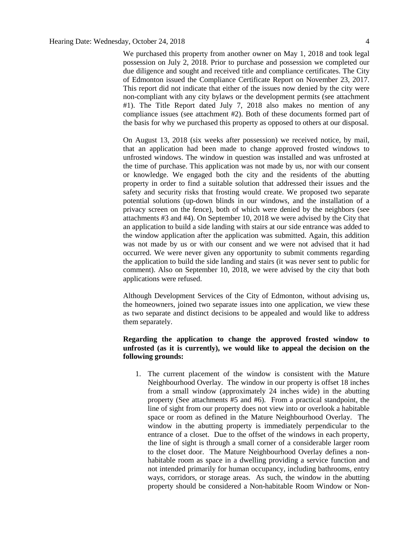We purchased this property from another owner on May 1, 2018 and took legal possession on July 2, 2018. Prior to purchase and possession we completed our due diligence and sought and received title and compliance certificates. The City of Edmonton issued the Compliance Certificate Report on November 23, 2017. This report did not indicate that either of the issues now denied by the city were non-compliant with any city bylaws or the development permits (see attachment #1). The Title Report dated July 7, 2018 also makes no mention of any compliance issues (see attachment #2). Both of these documents formed part of the basis for why we purchased this property as opposed to others at our disposal.

On August 13, 2018 (six weeks after possession) we received notice, by mail, that an application had been made to change approved frosted windows to unfrosted windows. The window in question was installed and was unfrosted at the time of purchase. This application was not made by us, nor with our consent or knowledge. We engaged both the city and the residents of the abutting property in order to find a suitable solution that addressed their issues and the safety and security risks that frosting would create. We proposed two separate potential solutions (up-down blinds in our windows, and the installation of a privacy screen on the fence), both of which were denied by the neighbors (see attachments #3 and #4). On September 10, 2018 we were advised by the City that an application to build a side landing with stairs at our side entrance was added to the window application after the application was submitted. Again, this addition was not made by us or with our consent and we were not advised that it had occurred. We were never given any opportunity to submit comments regarding the application to build the side landing and stairs (it was never sent to public for comment). Also on September 10, 2018, we were advised by the city that both applications were refused.

Although Development Services of the City of Edmonton, without advising us, the homeowners, joined two separate issues into one application, we view these as two separate and distinct decisions to be appealed and would like to address them separately.

# **Regarding the application to change the approved frosted window to unfrosted (as it is currently), we would like to appeal the decision on the following grounds:**

1. The current placement of the window is consistent with the Mature Neighbourhood Overlay. The window in our property is offset 18 inches from a small window (approximately 24 inches wide) in the abutting property (See attachments #5 and #6). From a practical standpoint, the line of sight from our property does not view into or overlook a habitable space or room as defined in the Mature Neighbourhood Overlay. The window in the abutting property is immediately perpendicular to the entrance of a closet. Due to the offset of the windows in each property, the line of sight is through a small corner of a considerable larger room to the closet door. The Mature Neighbourhood Overlay defines a nonhabitable room as space in a dwelling providing a service function and not intended primarily for human occupancy, including bathrooms, entry ways, corridors, or storage areas. As such, the window in the abutting property should be considered a Non-habitable Room Window or Non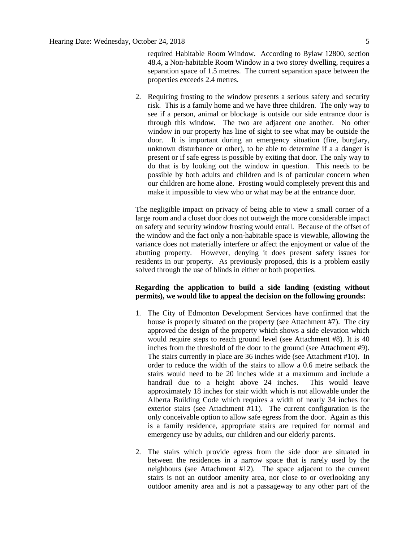required Habitable Room Window. According to Bylaw 12800, section 48.4, a Non-habitable Room Window in a two storey dwelling, requires a separation space of 1.5 metres. The current separation space between the properties exceeds 2.4 metres.

2. Requiring frosting to the window presents a serious safety and security risk. This is a family home and we have three children. The only way to see if a person, animal or blockage is outside our side entrance door is through this window. The two are adjacent one another. No other window in our property has line of sight to see what may be outside the door. It is important during an emergency situation (fire, burglary, unknown disturbance or other), to be able to determine if a a danger is present or if safe egress is possible by exiting that door. The only way to do that is by looking out the window in question. This needs to be possible by both adults and children and is of particular concern when our children are home alone. Frosting would completely prevent this and make it impossible to view who or what may be at the entrance door.

The negligible impact on privacy of being able to view a small corner of a large room and a closet door does not outweigh the more considerable impact on safety and security window frosting would entail. Because of the offset of the window and the fact only a non-habitable space is viewable, allowing the variance does not materially interfere or affect the enjoyment or value of the abutting property. However, denying it does present safety issues for residents in our property. As previously proposed, this is a problem easily solved through the use of blinds in either or both properties.

# **Regarding the application to build a side landing (existing without permits), we would like to appeal the decision on the following grounds:**

- 1. The City of Edmonton Development Services have confirmed that the house is properly situated on the property (see Attachment #7). The city approved the design of the property which shows a side elevation which would require steps to reach ground level (see Attachment #8). It is 40 inches from the threshold of the door to the ground (see Attachment #9). The stairs currently in place are 36 inches wide (see Attachment #10). In order to reduce the width of the stairs to allow a 0.6 metre setback the stairs would need to be 20 inches wide at a maximum and include a handrail due to a height above 24 inches. This would leave approximately 18 inches for stair width which is not allowable under the Alberta Building Code which requires a width of nearly 34 inches for exterior stairs (see Attachment #11). The current configuration is the only conceivable option to allow safe egress from the door. Again as this is a family residence, appropriate stairs are required for normal and emergency use by adults, our children and our elderly parents.
- 2. The stairs which provide egress from the side door are situated in between the residences in a narrow space that is rarely used by the neighbours (see Attachment #12). The space adjacent to the current stairs is not an outdoor amenity area, nor close to or overlooking any outdoor amenity area and is not a passageway to any other part of the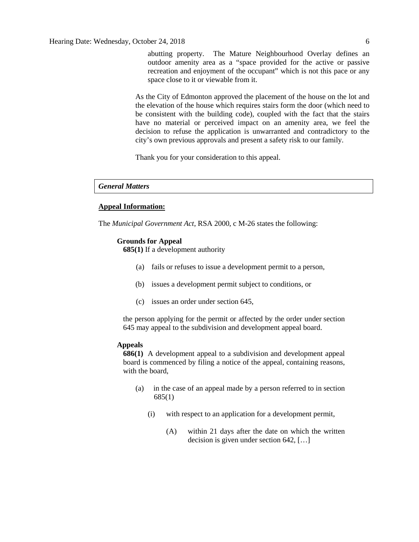abutting property. The Mature Neighbourhood Overlay defines an outdoor amenity area as a "space provided for the active or passive recreation and enjoyment of the occupant" which is not this pace or any space close to it or viewable from it.

As the City of Edmonton approved the placement of the house on the lot and the elevation of the house which requires stairs form the door (which need to be consistent with the building code), coupled with the fact that the stairs have no material or perceived impact on an amenity area, we feel the decision to refuse the application is unwarranted and contradictory to the city's own previous approvals and present a safety risk to our family.

Thank you for your consideration to this appeal.

#### *General Matters*

#### **Appeal Information:**

The *Municipal Government Act*, RSA 2000, c M-26 states the following:

#### **Grounds for Appeal**

**685(1)** If a development authority

- (a) fails or refuses to issue a development permit to a person,
- (b) issues a development permit subject to conditions, or
- (c) issues an order under section 645,

the person applying for the permit or affected by the order under section 645 may appeal to the subdivision and development appeal board.

# **Appeals**

**686(1)** A development appeal to a subdivision and development appeal board is commenced by filing a notice of the appeal, containing reasons, with the board,

- (a) in the case of an appeal made by a person referred to in section 685(1)
	- (i) with respect to an application for a development permit,
		- (A) within 21 days after the date on which the written decision is given under section 642, […]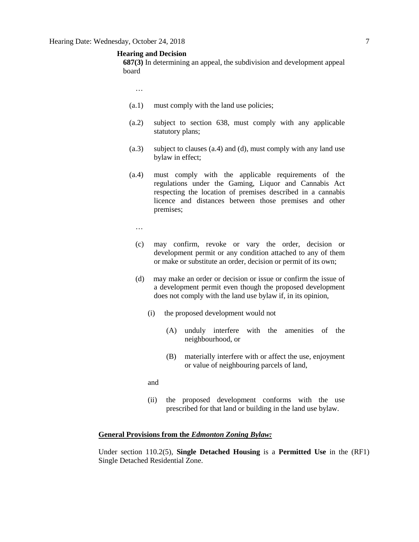#### **Hearing and Decision**

**687(3)** In determining an appeal, the subdivision and development appeal board

- …
- (a.1) must comply with the land use policies;
- (a.2) subject to section 638, must comply with any applicable statutory plans;
- (a.3) subject to clauses (a.4) and (d), must comply with any land use bylaw in effect;
- (a.4) must comply with the applicable requirements of the regulations under the Gaming, Liquor and Cannabis Act respecting the location of premises described in a cannabis licence and distances between those premises and other premises;
	- …
	- (c) may confirm, revoke or vary the order, decision or development permit or any condition attached to any of them or make or substitute an order, decision or permit of its own;
	- (d) may make an order or decision or issue or confirm the issue of a development permit even though the proposed development does not comply with the land use bylaw if, in its opinion,
		- (i) the proposed development would not
			- (A) unduly interfere with the amenities of the neighbourhood, or
			- (B) materially interfere with or affect the use, enjoyment or value of neighbouring parcels of land,
		- and
		- (ii) the proposed development conforms with the use prescribed for that land or building in the land use bylaw.

### **General Provisions from the** *Edmonton Zoning Bylaw:*

Under section 110.2(5), **Single Detached Housing** is a **Permitted Use** in the (RF1) Single Detached Residential Zone.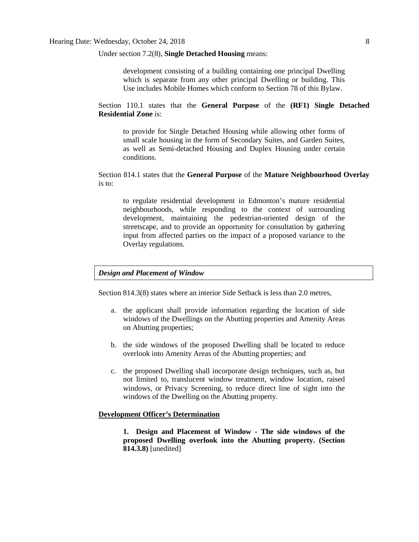Under section 7.2(8), **Single Detached Housing** means:

development consisting of a building containing one principal Dwelling which is separate from any other principal Dwelling or building. This Use includes Mobile Homes which conform to Section 78 of this Bylaw.

Section 110.1 states that the **General Purpose** of the **(RF1) Single Detached Residential Zone** is:

to provide for Single Detached Housing while allowing other forms of small scale housing in the form of Secondary Suites, and Garden Suites, as well as Semi-detached Housing and Duplex Housing under certain conditions.

Section 814.1 states that the **General Purpose** of the **Mature Neighbourhood Overlay** is to:

to regulate residential development in Edmonton's mature residential neighbourhoods, while responding to the context of surrounding development, maintaining the pedestrian-oriented design of the streetscape, and to provide an opportunity for consultation by gathering input from affected parties on the impact of a proposed variance to the Overlay regulations.

### *Design and Placement of Window*

Section 814.3(8) states where an interior Side Setback is less than 2.0 metres,

- a. the applicant shall provide information regarding the location of side windows of the Dwellings on the Abutting properties and Amenity Areas on Abutting properties;
- b. the side windows of the proposed Dwelling shall be located to reduce overlook into Amenity Areas of the Abutting properties; and
- c. the proposed Dwelling shall incorporate design techniques, such as, but not limited to, translucent window treatment, window location, raised windows, or Privacy Screening, to reduce direct line of sight into the windows of the Dwelling on the Abutting property.

## **Development Officer's Determination**

**1. Design and Placement of Window - The side windows of the proposed Dwelling overlook into the Abutting property. (Section 814.3.8)** [unedited]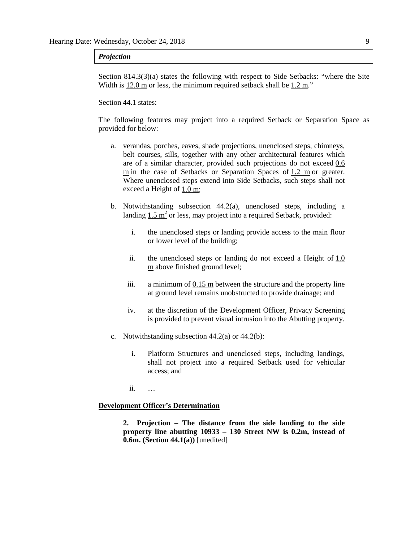#### *Projection*

Section 814.3(3)(a) states the following with respect to Side Setbacks: "where the Site Width is 12.0 m or less, the minimum required setback shall be 1.2 m."

#### Section 44.1 states:

The following features may project into a required Setback or Separation Space as provided for below:

- a. verandas, porches, eaves, shade projections, unenclosed steps, chimneys, belt courses, sills, together with any other architectural features which are of a similar character, provided such projections do not exceed [0.6](javascript:void(0);)  [m](javascript:void(0);) in the case of Setbacks or Separation Spaces of [1.2 m](javascript:void(0);) or greater. Where unenclosed steps extend into Side Setbacks, such steps shall not exceed a Height of [1.0 m;](javascript:void(0);)
- b. Notwithstanding subsection 44.2(a), unenclosed steps, including a landing  $1.5 \text{ m}^2$  or less, may project into a required Setback, provided:
	- i. the unenclosed steps or landing provide access to the main floor or lower level of the building;
	- ii. the unenclosed steps or landing do not exceed a Height of [1.0](javascript:void(0);)  [m](javascript:void(0);) above finished ground level;
	- iii. a minimum of  $0.15 \text{ m}$  between the structure and the property line at ground level remains unobstructed to provide drainage; and
	- iv. at the discretion of the Development Officer, Privacy Screening is provided to prevent visual intrusion into the Abutting property.
- c. Notwithstanding subsection 44.2(a) or 44.2(b):
	- i. Platform Structures and unenclosed steps, including landings, shall not project into a required Setback used for vehicular access; and

ii. …

#### **Development Officer's Determination**

**2. Projection – The distance from the side landing to the side property line abutting 10933 – 130 Street NW is 0.2m, instead of 0.6m. (Section 44.1(a))** [unedited]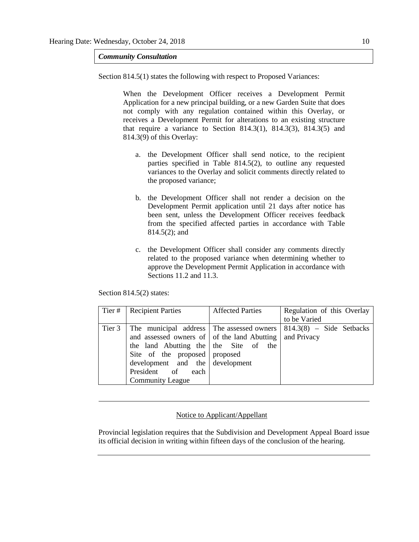*Community Consultation*

Section 814.5(1) states the following with respect to Proposed Variances:

When the Development Officer receives a Development Permit Application for a new principal building, or a new Garden Suite that does not comply with any regulation contained within this Overlay, or receives a Development Permit for alterations to an existing structure that require a variance to Section  $814.3(1)$ ,  $814.3(3)$ ,  $814.3(5)$  and 814.3(9) of this Overlay:

- a. the Development Officer shall send notice, to the recipient parties specified in Table 814.5(2), to outline any requested variances to the Overlay and solicit comments directly related to the proposed variance;
- b. the Development Officer shall not render a decision on the Development Permit application until 21 days after notice has been sent, unless the Development Officer receives feedback from the specified affected parties in accordance with Table 814.5(2); and
- c. the Development Officer shall consider any comments directly related to the proposed variance when determining whether to approve the Development Permit Application in accordance with Sections 11.2 and 11.3.

Section 814.5(2) states:

| Tier#  | <b>Recipient Parties</b>                                                                                                                                                                                                           | <b>Affected Parties</b> | Regulation of this Overlay                |
|--------|------------------------------------------------------------------------------------------------------------------------------------------------------------------------------------------------------------------------------------|-------------------------|-------------------------------------------|
|        |                                                                                                                                                                                                                                    |                         | to be Varied                              |
| Tier 3 | The municipal address The assessed owners<br>and assessed owners of of the land Abutting<br>the land Abutting the $\vert$ the Site of the<br>Site of the proposed proposed<br>development and the development<br>President of each |                         | $814.3(8)$ – Side Setbacks<br>and Privacy |
|        | <b>Community League</b>                                                                                                                                                                                                            |                         |                                           |

#### Notice to Applicant/Appellant

Provincial legislation requires that the Subdivision and Development Appeal Board issue its official decision in writing within fifteen days of the conclusion of the hearing.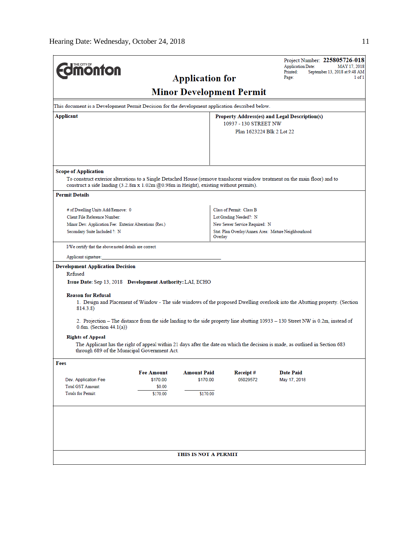| <b>monton</b>                                                                                                                                                                                                                                      |                               | <b>Application for</b> |                                                                                      |                           | <b>Application Date:</b><br>Printed:<br>Page: |  | Project Number: 225805726-018<br>MAY 17, 2018<br>September 13, 2018 at 9:48 AM<br>1 of 1 |
|----------------------------------------------------------------------------------------------------------------------------------------------------------------------------------------------------------------------------------------------------|-------------------------------|------------------------|--------------------------------------------------------------------------------------|---------------------------|-----------------------------------------------|--|------------------------------------------------------------------------------------------|
|                                                                                                                                                                                                                                                    |                               |                        | <b>Minor Development Permit</b>                                                      |                           |                                               |  |                                                                                          |
| This document is a Development Permit Decision for the development application described below.                                                                                                                                                    |                               |                        |                                                                                      |                           |                                               |  |                                                                                          |
| Applicant                                                                                                                                                                                                                                          |                               |                        | Property Address(es) and Legal Description(s)                                        |                           |                                               |  |                                                                                          |
|                                                                                                                                                                                                                                                    |                               |                        | 10937 - 130 STREET NW                                                                | Plan 1623224 Blk 2 Lot 22 |                                               |  |                                                                                          |
|                                                                                                                                                                                                                                                    |                               |                        |                                                                                      |                           |                                               |  |                                                                                          |
|                                                                                                                                                                                                                                                    |                               |                        |                                                                                      |                           |                                               |  |                                                                                          |
|                                                                                                                                                                                                                                                    |                               |                        |                                                                                      |                           |                                               |  |                                                                                          |
| <b>Scope of Application</b>                                                                                                                                                                                                                        |                               |                        |                                                                                      |                           |                                               |  |                                                                                          |
| To construct exterior alterations to a Single Detached House (remove translucent window treatment on the main floor) and to<br>construct a side landing $(3.2.8 \text{m x } 1.02 \text{m } @0.98 \text{m in Height})$ , existing without permits). |                               |                        |                                                                                      |                           |                                               |  |                                                                                          |
| <b>Permit Details</b>                                                                                                                                                                                                                              |                               |                        |                                                                                      |                           |                                               |  |                                                                                          |
| # of Dwelling Units Add/Remove: 0                                                                                                                                                                                                                  |                               |                        | Class of Permit: Class B                                                             |                           |                                               |  |                                                                                          |
| Client File Reference Number:                                                                                                                                                                                                                      |                               |                        | Lot Grading Needed?: N                                                               |                           |                                               |  |                                                                                          |
| Minor Dev. Application Fee: Exterior Alterations (Res.)<br>Secondary Suite Included ?: N                                                                                                                                                           |                               |                        | New Sewer Service Required: N<br>Stat. Plan Overlay/Annex Area: Mature Neighbourhood |                           |                                               |  |                                                                                          |
|                                                                                                                                                                                                                                                    |                               |                        | Overlay                                                                              |                           |                                               |  |                                                                                          |
| I/We certify that the above noted details are correct.                                                                                                                                                                                             |                               |                        |                                                                                      |                           |                                               |  |                                                                                          |
| Applicant signature:                                                                                                                                                                                                                               |                               |                        |                                                                                      |                           |                                               |  |                                                                                          |
| <b>Development Application Decision</b><br>Refused                                                                                                                                                                                                 |                               |                        |                                                                                      |                           |                                               |  |                                                                                          |
| Issue Date: Sep 13, 2018 Development Authority: LAI, ECHO                                                                                                                                                                                          |                               |                        |                                                                                      |                           |                                               |  |                                                                                          |
| <b>Reason for Refusal</b>                                                                                                                                                                                                                          |                               |                        |                                                                                      |                           |                                               |  |                                                                                          |
| 1. Design and Placement of Window - The side windows of the proposed Dwelling overlook into the Abutting property. (Section<br>814.3.8)                                                                                                            |                               |                        |                                                                                      |                           |                                               |  |                                                                                          |
| 2. Projection – The distance from the side landing to the side property line abutting 10933 – 130 Street NW is 0.2m, instead of<br>$0.6m$ . (Section 44.1(a))                                                                                      |                               |                        |                                                                                      |                           |                                               |  |                                                                                          |
| <b>Rights of Appeal</b>                                                                                                                                                                                                                            |                               |                        |                                                                                      |                           |                                               |  |                                                                                          |
| The Applicant has the right of appeal within 21 days after the date on which the decision is made, as outlined in Section 683<br>through 689 of the Municipal Government Act.                                                                      |                               |                        |                                                                                      |                           |                                               |  |                                                                                          |
| Fees                                                                                                                                                                                                                                               |                               |                        |                                                                                      |                           |                                               |  |                                                                                          |
|                                                                                                                                                                                                                                                    | <b>Fee Amount</b><br>\$170.00 | <b>Amount Paid</b>     | Receipt#<br>05029572                                                                 |                           | <b>Date Paid</b>                              |  |                                                                                          |
| Dev. Application Fee<br>Total GST Amount:                                                                                                                                                                                                          | \$0.00                        | \$170.00               |                                                                                      |                           | May 17, 2018                                  |  |                                                                                          |
| <b>Totals for Permit:</b>                                                                                                                                                                                                                          | \$170.00                      | \$170.00               |                                                                                      |                           |                                               |  |                                                                                          |
|                                                                                                                                                                                                                                                    |                               |                        |                                                                                      |                           |                                               |  |                                                                                          |
|                                                                                                                                                                                                                                                    |                               |                        |                                                                                      |                           |                                               |  |                                                                                          |
|                                                                                                                                                                                                                                                    |                               |                        |                                                                                      |                           |                                               |  |                                                                                          |
|                                                                                                                                                                                                                                                    |                               | THIS IS NOT A PERMIT   |                                                                                      |                           |                                               |  |                                                                                          |
|                                                                                                                                                                                                                                                    |                               |                        |                                                                                      |                           |                                               |  |                                                                                          |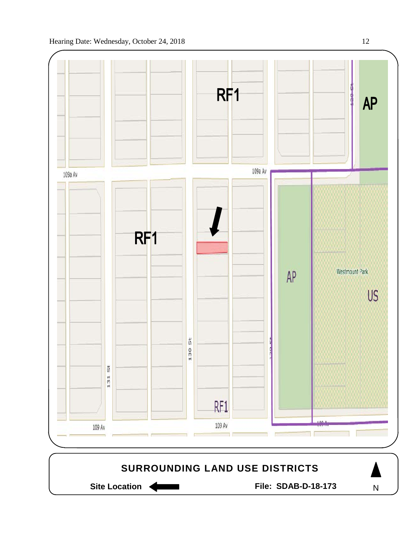

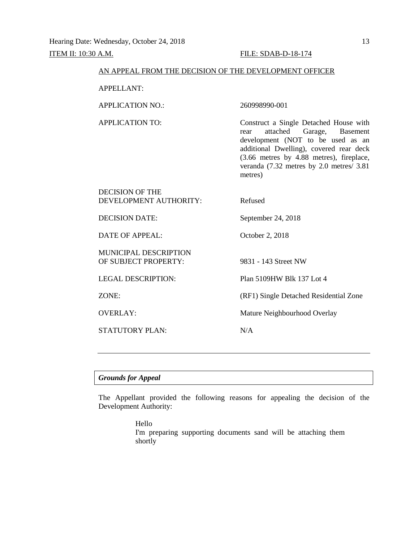#### AN APPEAL FROM THE DECISION OF THE DEVELOPMENT OFFICER

APPELLANT:

APPLICATION NO.: 260998990-001

APPLICATION TO: Construct a Single Detached House with rear attached Garage, Basement development (NOT to be used as an additional Dwelling), covered rear deck (3.66 metres by 4.88 metres), fireplace, veranda (7.32 metres by 2.0 metres/ 3.81 metres)

| DECISION OF THE<br>DEVELOPMENT AUTHORITY: | Refused            |
|-------------------------------------------|--------------------|
| DECISION DATE:                            | September 24, 2018 |
| DATE OF APPEAL:                           | October 2, 2018    |
| <b>MUNICIPAL DESCRIPTION</b>              |                    |

OF SUBJECT PROPERTY: 9831 - 143 Street NW

STATUTORY PLAN: N/A

LEGAL DESCRIPTION: Plan 5109HW Blk 137 Lot 4

ZONE: (RF1) Single Detached Residential Zone

OVERLAY: Mature Neighbourhood Overlay

#### *Grounds for Appeal*

The Appellant provided the following reasons for appealing the decision of the Development Authority:

> Hello I'm preparing supporting documents sand will be attaching them shortly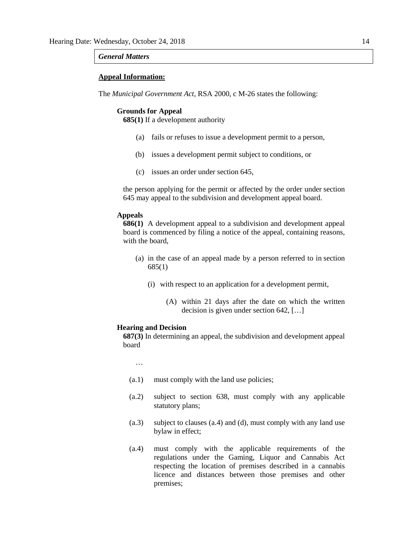### *General Matters*

#### **Appeal Information:**

The *Municipal Government Act*, RSA 2000, c M-26 states the following:

#### **Grounds for Appeal**

**685(1)** If a development authority

- (a) fails or refuses to issue a development permit to a person,
- (b) issues a development permit subject to conditions, or
- (c) issues an order under section 645,

the person applying for the permit or affected by the order under section 645 may appeal to the subdivision and development appeal board.

#### **Appeals**

**686(1)** A development appeal to a subdivision and development appeal board is commenced by filing a notice of the appeal, containing reasons, with the board,

- (a) in the case of an appeal made by a person referred to in section 685(1)
	- (i) with respect to an application for a development permit,
		- (A) within 21 days after the date on which the written decision is given under section 642, […]

#### **Hearing and Decision**

**687(3)** In determining an appeal, the subdivision and development appeal board

…

- (a.1) must comply with the land use policies;
- (a.2) subject to section 638, must comply with any applicable statutory plans;
- (a.3) subject to clauses (a.4) and (d), must comply with any land use bylaw in effect;
- (a.4) must comply with the applicable requirements of the regulations under the Gaming, Liquor and Cannabis Act respecting the location of premises described in a cannabis licence and distances between those premises and other premises;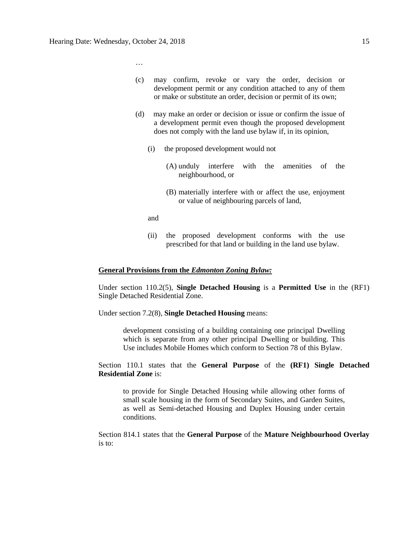…

- (c) may confirm, revoke or vary the order, decision or development permit or any condition attached to any of them or make or substitute an order, decision or permit of its own;
- (d) may make an order or decision or issue or confirm the issue of a development permit even though the proposed development does not comply with the land use bylaw if, in its opinion,
	- (i) the proposed development would not
		- (A) unduly interfere with the amenities of the neighbourhood, or
		- (B) materially interfere with or affect the use, enjoyment or value of neighbouring parcels of land,
	- and
	- (ii) the proposed development conforms with the use prescribed for that land or building in the land use bylaw.

#### **General Provisions from the** *Edmonton Zoning Bylaw:*

Under section 110.2(5), **Single Detached Housing** is a **Permitted Use** in the (RF1) Single Detached Residential Zone.

Under section 7.2(8), **Single Detached Housing** means:

development consisting of a building containing one principal Dwelling which is separate from any other principal Dwelling or building. This Use includes Mobile Homes which conform to Section 78 of this Bylaw.

Section 110.1 states that the **General Purpose** of the **(RF1) Single Detached Residential Zone** is:

to provide for Single Detached Housing while allowing other forms of small scale housing in the form of Secondary Suites, and Garden Suites, as well as Semi-detached Housing and Duplex Housing under certain conditions.

Section 814.1 states that the **General Purpose** of the **Mature Neighbourhood Overlay** is to: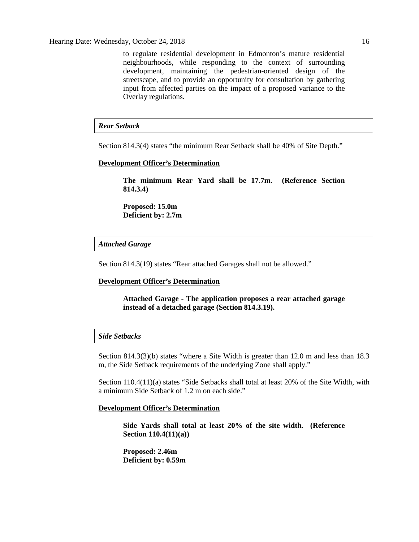to regulate residential development in Edmonton's mature residential neighbourhoods, while responding to the context of surrounding development, maintaining the pedestrian-oriented design of the streetscape, and to provide an opportunity for consultation by gathering input from affected parties on the impact of a proposed variance to the Overlay regulations.

# *Rear Setback*

Section 814.3(4) states "the minimum Rear Setback shall be 40% of Site Depth."

#### **Development Officer's Determination**

**The minimum Rear Yard shall be 17.7m. (Reference Section 814.3.4)**

**Proposed: 15.0m Deficient by: 2.7m**

### *Attached Garage*

Section 814.3(19) states "Rear attached Garages shall not be allowed."

#### **Development Officer's Determination**

**Attached Garage - The application proposes a rear attached garage instead of a detached garage (Section 814.3.19).**

## *Side Setbacks*

Section 814.3(3)(b) states "where a Site Width is greater than 12.0 m and less than 18.3 m, the Side Setback requirements of the underlying Zone shall apply."

Section 110.4(11)(a) states "Side Setbacks shall total at least 20% of the Site Width, with a minimum Side Setback of 1.2 m on each side."

#### **Development Officer's Determination**

**Side Yards shall total at least 20% of the site width. (Reference Section 110.4(11)(a))**

**Proposed: 2.46m Deficient by: 0.59m**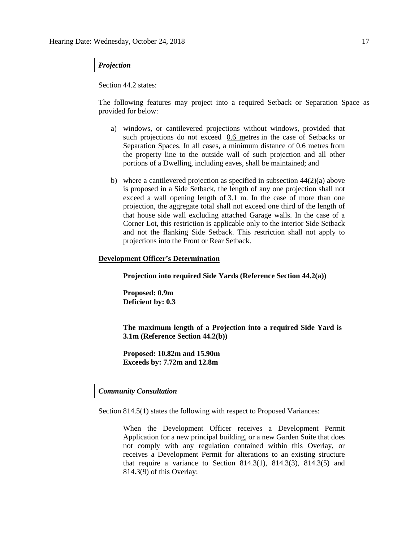#### *Projection*

#### Section 44.2 states:

The following features may project into a required Setback or Separation Space as provided for below:

- a) windows, or cantilevered projections without windows, provided that such projections do not exceed [0.6 me](javascript:void(0);)tres in the case of Setbacks or Separation Spaces. In all cases, a minimum distance of [0.6 me](javascript:void(0);)tres from the property line to the outside wall of such projection and all other portions of a Dwelling, including eaves, shall be maintained; and
- b) where a cantilevered projection as specified in subsection 44(2)(a) above is proposed in a Side Setback, the length of any one projection shall not exceed a wall opening length of [3.1 m.](javascript:void(0);) In the case of more than one projection, the aggregate total shall not exceed one third of the length of that house side wall excluding attached Garage walls. In the case of a Corner Lot, this restriction is applicable only to the interior Side Setback and not the flanking Side Setback. This restriction shall not apply to projections into the Front or Rear Setback.

#### **Development Officer's Determination**

**Projection into required Side Yards (Reference Section 44.2(a))**

**Proposed: 0.9m Deficient by: 0.3**

**The maximum length of a Projection into a required Side Yard is 3.1m (Reference Section 44.2(b))**

**Proposed: 10.82m and 15.90m Exceeds by: 7.72m and 12.8m**

# *Community Consultation*

Section 814.5(1) states the following with respect to Proposed Variances:

When the Development Officer receives a Development Permit Application for a new principal building, or a new Garden Suite that does not comply with any regulation contained within this Overlay, or receives a Development Permit for alterations to an existing structure that require a variance to Section 814.3(1), 814.3(3), 814.3(5) and 814.3(9) of this Overlay: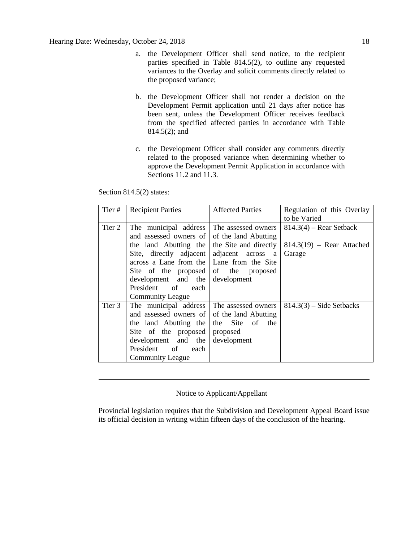- a. the Development Officer shall send notice, to the recipient parties specified in Table 814.5(2), to outline any requested variances to the Overlay and solicit comments directly related to the proposed variance;
- b. the Development Officer shall not render a decision on the Development Permit application until 21 days after notice has been sent, unless the Development Officer receives feedback from the specified affected parties in accordance with Table 814.5(2); and
- c. the Development Officer shall consider any comments directly related to the proposed variance when determining whether to approve the Development Permit Application in accordance with Sections 11.2 and 11.3.

Section 814.5(2) states:

| Tier#  | <b>Recipient Parties</b>                    | <b>Affected Parties</b> | Regulation of this Overlay  |
|--------|---------------------------------------------|-------------------------|-----------------------------|
|        |                                             |                         | to be Varied                |
| Tier 2 | The municipal address                       | The assessed owners     | $814.3(4)$ – Rear Setback   |
|        | and assessed owners of of the land Abutting |                         |                             |
|        | the land Abutting the the Site and directly |                         | $814.3(19)$ – Rear Attached |
|        | Site, directly adjacent adjacent across a   |                         | Garage                      |
|        | across a Lane from the   Lane from the Site |                         |                             |
|        | Site of the proposed of the proposed        |                         |                             |
|        | development and the                         | development             |                             |
|        | President of each                           |                         |                             |
|        | <b>Community League</b>                     |                         |                             |
| Tier 3 | The municipal address The assessed owners   |                         | $814.3(3)$ – Side Setbacks  |
|        | and assessed owners of of the land Abutting |                         |                             |
|        | the land Abutting the the Site of the       |                         |                             |
|        | Site of the proposed proposed               |                         |                             |
|        | development and the                         | development             |                             |
|        | President of<br>each                        |                         |                             |
|        | <b>Community League</b>                     |                         |                             |

# Notice to Applicant/Appellant

Provincial legislation requires that the Subdivision and Development Appeal Board issue its official decision in writing within fifteen days of the conclusion of the hearing.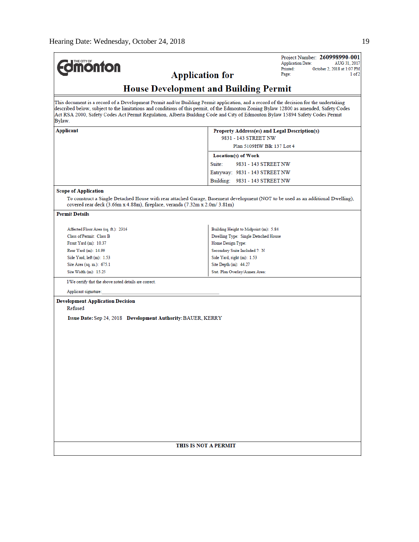| <b>Imonton</b>                                                                                                                                                                                                                                                                                                                                                                                                             |                                                                               | Project Number: 260998990-001<br><b>Application Date:</b><br>AUG 31, 2017 |
|----------------------------------------------------------------------------------------------------------------------------------------------------------------------------------------------------------------------------------------------------------------------------------------------------------------------------------------------------------------------------------------------------------------------------|-------------------------------------------------------------------------------|---------------------------------------------------------------------------|
|                                                                                                                                                                                                                                                                                                                                                                                                                            |                                                                               | Printed:<br>October 2, 2018 at 1:07 PM                                    |
| <b>Application for</b>                                                                                                                                                                                                                                                                                                                                                                                                     |                                                                               | Page:<br>1 of 2                                                           |
| <b>House Development and Building Permit</b>                                                                                                                                                                                                                                                                                                                                                                               |                                                                               |                                                                           |
| This document is a record of a Development Permit and/or Building Permit application, and a record of the decision for the undertaking<br>described below, subject to the limitations and conditions of this permit, of the Edmonton Zoning Bylaw 12800 as amended, Safety Codes<br>Act RSA 2000, Safety Codes Act Permit Regulation, Alberta Building Code and City of Edmonton Bylaw 15894 Safety Codes Permit<br>Bylaw. |                                                                               |                                                                           |
| Applicant                                                                                                                                                                                                                                                                                                                                                                                                                  | Property Address(es) and Legal Description(s)                                 |                                                                           |
|                                                                                                                                                                                                                                                                                                                                                                                                                            | 9831 - 143 STREET NW                                                          |                                                                           |
|                                                                                                                                                                                                                                                                                                                                                                                                                            | Plan 5109HW Blk 137 Lot 4                                                     |                                                                           |
|                                                                                                                                                                                                                                                                                                                                                                                                                            | Location(s) of Work                                                           |                                                                           |
|                                                                                                                                                                                                                                                                                                                                                                                                                            | Suite:<br>9831 - 143 STREET NW                                                |                                                                           |
|                                                                                                                                                                                                                                                                                                                                                                                                                            | Entryway: 9831 - 143 STREET NW                                                |                                                                           |
|                                                                                                                                                                                                                                                                                                                                                                                                                            | Building: 9831 - 143 STREET NW                                                |                                                                           |
| <b>Scope of Application</b>                                                                                                                                                                                                                                                                                                                                                                                                |                                                                               |                                                                           |
| To construct a Single Detached House with rear attached Garage, Basement development (NOT to be used as an additional Dwelling),<br>covered rear deck (3.66m x 4.88m), fireplace, veranda (7.32m x 2.0m/3.81m)                                                                                                                                                                                                             |                                                                               |                                                                           |
| <b>Permit Details</b>                                                                                                                                                                                                                                                                                                                                                                                                      |                                                                               |                                                                           |
|                                                                                                                                                                                                                                                                                                                                                                                                                            |                                                                               |                                                                           |
| Affected Floor Area (sq. ft.): 2316<br>Class of Permit: Class B                                                                                                                                                                                                                                                                                                                                                            | Building Height to Midpoint (m): 5.84<br>Dwelling Type: Single Detached House |                                                                           |
| Front Yard (m): 10.37                                                                                                                                                                                                                                                                                                                                                                                                      | Home Design Type:                                                             |                                                                           |
| Rear Yard (m): 14.99                                                                                                                                                                                                                                                                                                                                                                                                       | Secondary Suite Included ?: N                                                 |                                                                           |
| Side Yard, $left(m): 1.53$                                                                                                                                                                                                                                                                                                                                                                                                 | Side Yard, right (m): 1.53                                                    |                                                                           |
| Site Area (sq. m.): 675.1                                                                                                                                                                                                                                                                                                                                                                                                  | Site Depth (m): 44.27                                                         |                                                                           |
| Site Width $(m)$ : 15.25                                                                                                                                                                                                                                                                                                                                                                                                   | Stat. Plan Overlay/Annex Area:                                                |                                                                           |
| I/We certify that the above noted details are correct.                                                                                                                                                                                                                                                                                                                                                                     |                                                                               |                                                                           |
| Applicant signature:                                                                                                                                                                                                                                                                                                                                                                                                       |                                                                               |                                                                           |
| <b>Development Application Decision</b>                                                                                                                                                                                                                                                                                                                                                                                    |                                                                               |                                                                           |
| Refused                                                                                                                                                                                                                                                                                                                                                                                                                    |                                                                               |                                                                           |
|                                                                                                                                                                                                                                                                                                                                                                                                                            |                                                                               |                                                                           |
| <b>Issue Date: Sep 24, 2018 Development Authority: BAUER, KERRY</b>                                                                                                                                                                                                                                                                                                                                                        |                                                                               |                                                                           |
|                                                                                                                                                                                                                                                                                                                                                                                                                            |                                                                               |                                                                           |
|                                                                                                                                                                                                                                                                                                                                                                                                                            |                                                                               |                                                                           |
|                                                                                                                                                                                                                                                                                                                                                                                                                            |                                                                               |                                                                           |
|                                                                                                                                                                                                                                                                                                                                                                                                                            |                                                                               |                                                                           |
|                                                                                                                                                                                                                                                                                                                                                                                                                            |                                                                               |                                                                           |
|                                                                                                                                                                                                                                                                                                                                                                                                                            |                                                                               |                                                                           |
|                                                                                                                                                                                                                                                                                                                                                                                                                            |                                                                               |                                                                           |
|                                                                                                                                                                                                                                                                                                                                                                                                                            |                                                                               |                                                                           |
|                                                                                                                                                                                                                                                                                                                                                                                                                            |                                                                               |                                                                           |
|                                                                                                                                                                                                                                                                                                                                                                                                                            |                                                                               |                                                                           |
|                                                                                                                                                                                                                                                                                                                                                                                                                            |                                                                               |                                                                           |
|                                                                                                                                                                                                                                                                                                                                                                                                                            |                                                                               |                                                                           |
|                                                                                                                                                                                                                                                                                                                                                                                                                            |                                                                               |                                                                           |
|                                                                                                                                                                                                                                                                                                                                                                                                                            |                                                                               |                                                                           |
|                                                                                                                                                                                                                                                                                                                                                                                                                            |                                                                               |                                                                           |
|                                                                                                                                                                                                                                                                                                                                                                                                                            | THIS IS NOT A PERMIT                                                          |                                                                           |
|                                                                                                                                                                                                                                                                                                                                                                                                                            |                                                                               |                                                                           |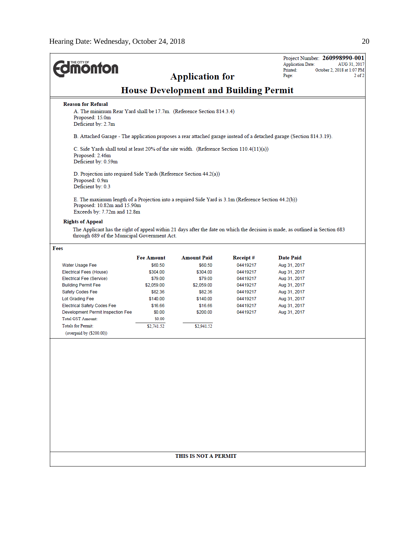| <b><i><u><del>monton</del></u></i></b>                                                                                                                                                                   |                   | <b>Application for</b>                       |          | <b>Application Date:</b><br>Printed:<br>Page: | Project Number: 260998990-001<br>AUG 31, 2017<br>October 2, 2018 at 1:07 PM<br>$2$ of $2$ |
|----------------------------------------------------------------------------------------------------------------------------------------------------------------------------------------------------------|-------------------|----------------------------------------------|----------|-----------------------------------------------|-------------------------------------------------------------------------------------------|
|                                                                                                                                                                                                          |                   | <b>House Development and Building Permit</b> |          |                                               |                                                                                           |
| <b>Reason for Refusal</b><br>A. The minimum Rear Yard shall be 17.7m. (Reference Section 814.3.4)<br>Proposed: 15.0m<br>Deficient by: 2.7m                                                               |                   |                                              |          |                                               |                                                                                           |
| B. Attached Garage - The application proposes a rear attached garage instead of a detached garage (Section 814.3.19).                                                                                    |                   |                                              |          |                                               |                                                                                           |
| C. Side Yards shall total at least 20% of the site width. (Reference Section 110.4(11)(a))<br>Proposed: 2.46m<br>Deficient by: 0.59m                                                                     |                   |                                              |          |                                               |                                                                                           |
| D. Projection into required Side Yards (Reference Section 44.2(a))<br>Proposed: 0.9m<br>Deficient by: 0.3                                                                                                |                   |                                              |          |                                               |                                                                                           |
| E. The maximum length of a Projection into a required Side Yard is 3.1m (Reference Section 44.2(b))<br>Proposed: 10.82m and 15.90m<br>Exceeds by: $7.72m$ and $12.8m$                                    |                   |                                              |          |                                               |                                                                                           |
| <b>Rights of Appeal</b><br>The Applicant has the right of appeal within 21 days after the date on which the decision is made, as outlined in Section 683<br>through 689 of the Municipal Government Act. |                   |                                              |          |                                               |                                                                                           |
| Fees                                                                                                                                                                                                     |                   |                                              |          |                                               |                                                                                           |
|                                                                                                                                                                                                          | <b>Fee Amount</b> | <b>Amount Paid</b>                           | Receipt# | <b>Date Paid</b>                              |                                                                                           |
| Water Usage Fee                                                                                                                                                                                          | \$60.50           | \$60.50                                      | 04419217 | Aug 31, 2017                                  |                                                                                           |
| Electrical Fees (House)                                                                                                                                                                                  | \$304.00          | \$304.00                                     | 04419217 | Aug 31, 2017                                  |                                                                                           |
| Electrical Fee (Service)                                                                                                                                                                                 | \$79.00           | \$79.00                                      | 04419217 | Aug 31, 2017                                  |                                                                                           |
| <b>Building Permit Fee</b>                                                                                                                                                                               | \$2,059.00        | \$2,059.00                                   | 04419217 | Aug 31, 2017                                  |                                                                                           |
| Safety Codes Fee                                                                                                                                                                                         | \$82.36           | \$82.36                                      | 04419217 | Aug 31, 2017                                  |                                                                                           |
| Lot Grading Fee                                                                                                                                                                                          | \$140.00          | \$140.00                                     | 04419217 | Aug 31, 2017                                  |                                                                                           |
| <b>Electrical Safety Codes Fee</b>                                                                                                                                                                       | \$16.66<br>\$0.00 | \$16.66<br>\$200.00                          | 04419217 | Aug 31, 2017                                  |                                                                                           |
| Development Permit Inspection Fee<br><b>Total GST Amount:</b>                                                                                                                                            | \$0.00            |                                              | 04419217 | Aug 31, 2017                                  |                                                                                           |
| <b>Totals for Permit:</b>                                                                                                                                                                                | \$2,741.52        | \$2,941.52                                   |          |                                               |                                                                                           |
| (overpaid by (\$200.00))                                                                                                                                                                                 |                   |                                              |          |                                               |                                                                                           |
|                                                                                                                                                                                                          |                   | THIS IS NOT A PERMIT                         |          |                                               |                                                                                           |
|                                                                                                                                                                                                          |                   |                                              |          |                                               |                                                                                           |
|                                                                                                                                                                                                          |                   |                                              |          |                                               |                                                                                           |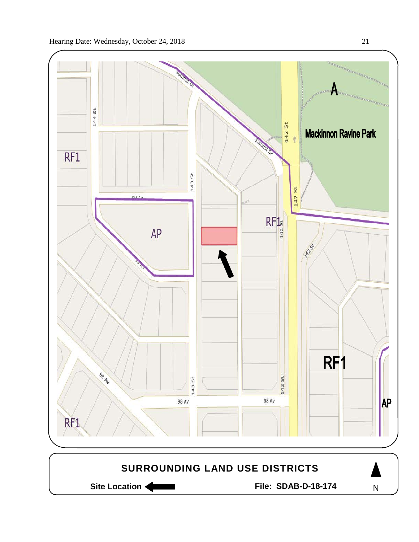

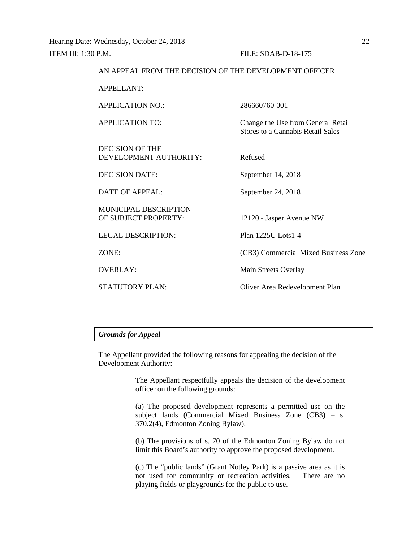| AN APPEAL FROM THE DECISION OF THE DEVELOPMENT OFFICER |                                                                                |
|--------------------------------------------------------|--------------------------------------------------------------------------------|
| <b>APPELLANT:</b>                                      |                                                                                |
| <b>APPLICATION NO.:</b>                                | 286660760-001                                                                  |
| <b>APPLICATION TO:</b>                                 | Change the Use from General Retail<br><b>Stores to a Cannabis Retail Sales</b> |
| DECISION OF THE<br>DEVELOPMENT AUTHORITY:              | Refused                                                                        |
| <b>DECISION DATE:</b>                                  | September 14, 2018                                                             |
| <b>DATE OF APPEAL:</b>                                 | September 24, 2018                                                             |
| <b>MUNICIPAL DESCRIPTION</b><br>OF SUBJECT PROPERTY:   | 12120 - Jasper Avenue NW                                                       |
| <b>LEGAL DESCRIPTION:</b>                              | Plan 1225U Lots1-4                                                             |
| ZONE:                                                  | (CB3) Commercial Mixed Business Zone                                           |
| <b>OVERLAY:</b>                                        | Main Streets Overlay                                                           |
| <b>STATUTORY PLAN:</b>                                 | Oliver Area Redevelopment Plan                                                 |
|                                                        |                                                                                |

# *Grounds for Appeal*

The Appellant provided the following reasons for appealing the decision of the Development Authority:

> The Appellant respectfully appeals the decision of the development officer on the following grounds:

> (a) The proposed development represents a permitted use on the subject lands (Commercial Mixed Business Zone (CB3) – s. 370.2(4), Edmonton Zoning Bylaw).

> (b) The provisions of s. 70 of the Edmonton Zoning Bylaw do not limit this Board's authority to approve the proposed development.

> (c) The "public lands" (Grant Notley Park) is a passive area as it is not used for community or recreation activities. There are no playing fields or playgrounds for the public to use.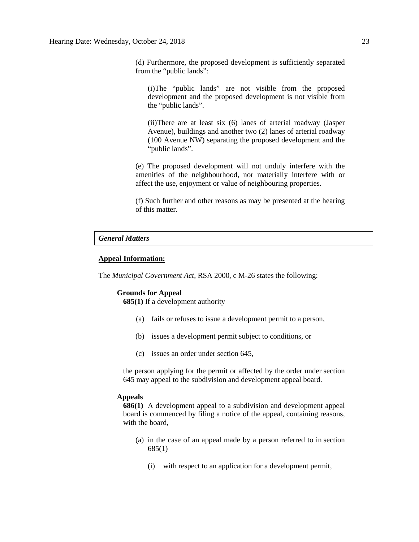(d) Furthermore, the proposed development is sufficiently separated from the "public lands":

(i)The "public lands" are not visible from the proposed development and the proposed development is not visible from the "public lands".

(ii)There are at least six (6) lanes of arterial roadway (Jasper Avenue), buildings and another two (2) lanes of arterial roadway (100 Avenue NW) separating the proposed development and the "public lands".

(e) The proposed development will not unduly interfere with the amenities of the neighbourhood, nor materially interfere with or affect the use, enjoyment or value of neighbouring properties.

(f) Such further and other reasons as may be presented at the hearing of this matter.

## *General Matters*

#### **Appeal Information:**

The *Municipal Government Act*, RSA 2000, c M-26 states the following:

# **Grounds for Appeal**

**685(1)** If a development authority

- (a) fails or refuses to issue a development permit to a person,
- (b) issues a development permit subject to conditions, or
- (c) issues an order under section 645,

the person applying for the permit or affected by the order under section 645 may appeal to the subdivision and development appeal board.

#### **Appeals**

**686(1)** A development appeal to a subdivision and development appeal board is commenced by filing a notice of the appeal, containing reasons, with the board,

- (a) in the case of an appeal made by a person referred to in section 685(1)
	- (i) with respect to an application for a development permit,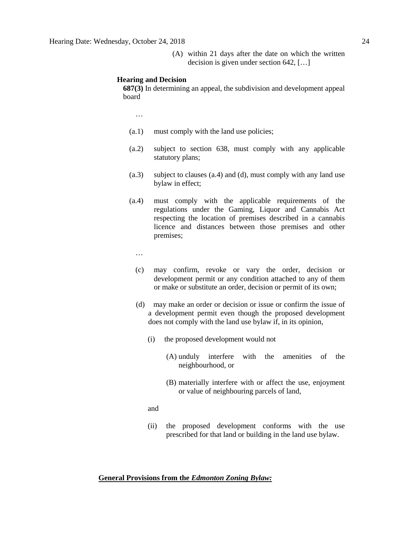(A) within 21 days after the date on which the written decision is given under section 642, […]

#### **Hearing and Decision**

**687(3)** In determining an appeal, the subdivision and development appeal board

…

- (a.1) must comply with the land use policies;
- (a.2) subject to section 638, must comply with any applicable statutory plans;
- (a.3) subject to clauses (a.4) and (d), must comply with any land use bylaw in effect;
- (a.4) must comply with the applicable requirements of the regulations under the Gaming, Liquor and Cannabis Act respecting the location of premises described in a cannabis licence and distances between those premises and other premises;

…

- (c) may confirm, revoke or vary the order, decision or development permit or any condition attached to any of them or make or substitute an order, decision or permit of its own;
- (d) may make an order or decision or issue or confirm the issue of a development permit even though the proposed development does not comply with the land use bylaw if, in its opinion,
	- (i) the proposed development would not
		- (A) unduly interfere with the amenities of the neighbourhood, or
		- (B) materially interfere with or affect the use, enjoyment or value of neighbouring parcels of land,

and

(ii) the proposed development conforms with the use prescribed for that land or building in the land use bylaw.

# **General Provisions from the** *Edmonton Zoning Bylaw:*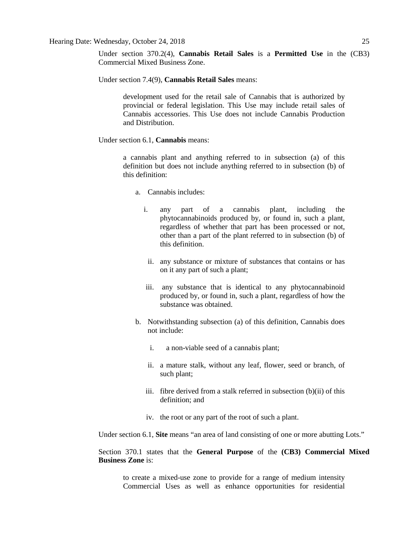Under section 370.2(4), **Cannabis Retail Sales** is a **Permitted Use** in the (CB3) Commercial Mixed Business Zone.

Under section 7.4(9), **Cannabis Retail Sales** means:

development used for the retail sale of Cannabis that is authorized by provincial or federal legislation. This Use may include retail sales of Cannabis accessories. This Use does not include Cannabis Production and Distribution.

Under section 6.1, **Cannabis** means:

a cannabis plant and anything referred to in subsection (a) of this definition but does not include anything referred to in subsection (b) of this definition:

- a. Cannabis includes:
	- i. any part of a cannabis plant, including the phytocannabinoids produced by, or found in, such a plant, regardless of whether that part has been processed or not, other than a part of the plant referred to in subsection (b) of this definition.
		- ii. any substance or mixture of substances that contains or has on it any part of such a plant;
	- iii. any substance that is identical to any phytocannabinoid produced by, or found in, such a plant, regardless of how the substance was obtained.
- b. Notwithstanding subsection (a) of this definition, Cannabis does not include:
	- i. a non-viable seed of a cannabis plant;
	- ii. a mature stalk, without any leaf, flower, seed or branch, of such plant;
	- iii. fibre derived from a stalk referred in subsection (b)(ii) of this definition; and
	- iv. the root or any part of the root of such a plant.

Under section 6.1, **Site** means "an area of land consisting of one or more abutting Lots."

Section 370.1 states that the **General Purpose** of the **(CB3) Commercial Mixed Business Zone** is:

to create a mixed-use zone to provide for a range of medium intensity Commercial Uses as well as enhance opportunities for residential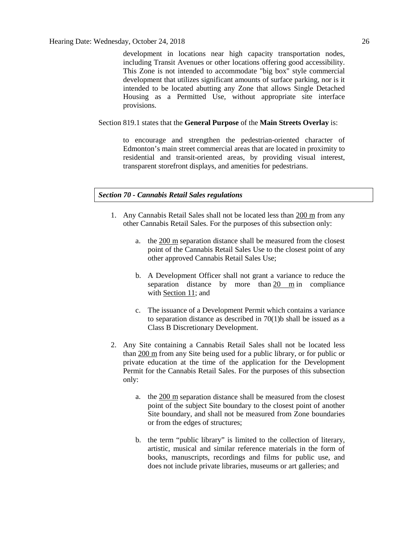development in locations near high capacity transportation nodes, including Transit Avenues or other locations offering good accessibility. This Zone is not intended to accommodate "big box" style commercial development that utilizes significant amounts of surface parking, nor is it intended to be located abutting any Zone that allows Single Detached Housing as a Permitted Use, without appropriate site interface provisions.

#### Section 819.1 states that the **General Purpose** of the **Main Streets Overlay** is:

to encourage and strengthen the pedestrian-oriented character of Edmonton's main street commercial areas that are located in proximity to residential and transit-oriented areas, by providing visual interest, transparent storefront displays, and amenities for pedestrians.

#### *Section 70 - Cannabis Retail Sales regulations*

- 1. Any Cannabis Retail Sales shall not be located less than 200 m from any other Cannabis Retail Sales. For the purposes of this subsection only:
	- a. the [200 m](javascript:void(0);) separation distance shall be measured from the closest point of the Cannabis Retail Sales Use to the closest point of any other approved Cannabis Retail Sales Use;
	- b. A Development Officer shall not grant a variance to reduce the separation distance by more than [20 m](javascript:void(0);) in compliance with [Section 11;](https://webdocs.edmonton.ca/InfraPlan/zoningbylaw/ZoningBylaw/Part1/Administrative/11__Authority_and_Responsibility_of_the_Development_Officer.htm) and
	- c. The issuance of a Development Permit which contains a variance to separation distance as described in  $70(1)$ b shall be issued as a Class B Discretionary Development.
- 2. Any Site containing a Cannabis Retail Sales shall not be located less than [200 m](javascript:void(0);) from any Site being used for a public library, or for public or private education at the time of the application for the Development Permit for the Cannabis Retail Sales. For the purposes of this subsection only:
	- a. the [200 m](javascript:void(0);) separation distance shall be measured from the closest point of the subject Site boundary to the closest point of another Site boundary, and shall not be measured from Zone boundaries or from the edges of structures;
	- b. the term "public library" is limited to the collection of literary, artistic, musical and similar reference materials in the form of books, manuscripts, recordings and films for public use, and does not include private libraries, museums or art galleries; and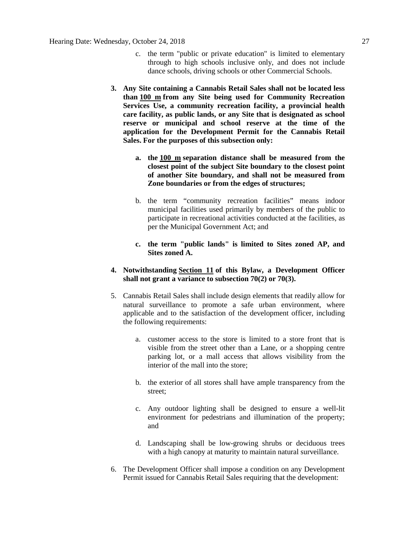- c. the term "public or private education" is limited to elementary through to high schools inclusive only, and does not include dance schools, driving schools or other Commercial Schools.
- **3. Any Site containing a Cannabis Retail Sales shall not be located less than [100 m](javascript:void(0);) from any Site being used for Community Recreation Services Use, a community recreation facility, a provincial health care facility, as public lands, or any Site that is designated as school reserve or municipal and school reserve at the time of the application for the Development Permit for the Cannabis Retail Sales. For the purposes of this subsection only:**
	- **a. the [100 m](javascript:void(0);) separation distance shall be measured from the closest point of the subject Site boundary to the closest point of another Site boundary, and shall not be measured from Zone boundaries or from the edges of structures;**
	- b. the term "community recreation facilities" means indoor municipal facilities used primarily by members of the public to participate in recreational activities conducted at the facilities, as per the Municipal Government Act; and
	- **c. the term "public lands" is limited to Sites zoned AP, and Sites zoned A.**
- **4. Notwithstanding [Section 11](https://webdocs.edmonton.ca/InfraPlan/zoningbylaw/ZoningBylaw/Part1/Administrative/11__Authority_and_Responsibility_of_the_Development_Officer.htm) of this Bylaw, a Development Officer shall not grant a variance to subsection 70(2) or 70(3).**
- 5. Cannabis Retail Sales shall include design elements that readily allow for natural surveillance to promote a safe urban environment, where applicable and to the satisfaction of the development officer, including the following requirements:
	- a. customer access to the store is limited to a store front that is visible from the street other than a Lane, or a shopping centre parking lot, or a mall access that allows visibility from the interior of the mall into the store;
	- b. the exterior of all stores shall have ample transparency from the street;
	- c. Any outdoor lighting shall be designed to ensure a well-lit environment for pedestrians and illumination of the property; and
	- d. Landscaping shall be low-growing shrubs or deciduous trees with a high canopy at maturity to maintain natural surveillance.
- 6. The Development Officer shall impose a condition on any Development Permit issued for Cannabis Retail Sales requiring that the development: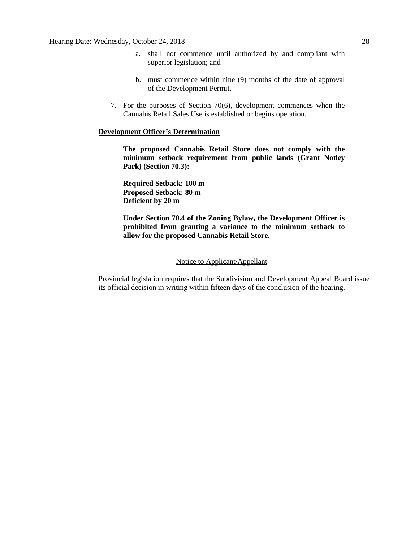- a. shall not commence until authorized by and compliant with superior legislation; and
- b. must commence within nine (9) months of the date of approval of the Development Permit.
- 7. For the purposes of Section 70(6), development commences when the Cannabis Retail Sales Use is established or begins operation.

## **Development Officer's Determination**

**The proposed Cannabis Retail Store does not comply with the minimum setback requirement from public lands (Grant Notley Park) (Section 70.3):**

**Required Setback: 100 m Proposed Setback: 80 m Deficient by 20 m**

**Under Section 70.4 of the Zoning Bylaw, the Development Officer is prohibited from granting a variance to the minimum setback to allow for the proposed Cannabis Retail Store.** 

Provincial legislation requires that the Subdivision and Development Appeal Board issue its official decision in writing within fifteen days of the conclusion of the hearing.

Notice to Applicant/Appellant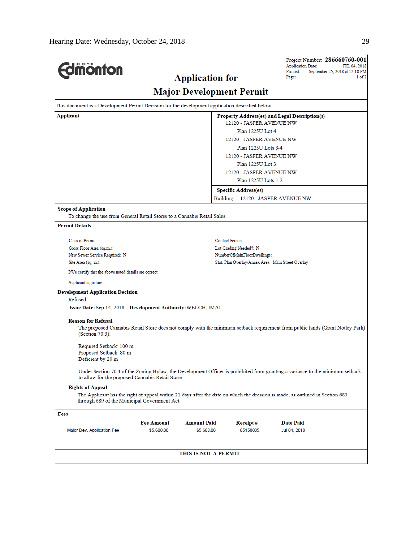| <b><i><u>MONTON</u></i></b>                                                                                                                                                       |                   |                        |                                                       | <b>Application Date:</b><br>Printed:<br>Page: | Project Number: 286660760-001<br>JUL 04, 2018<br>September 25, 2018 at 12:18 PM<br>1 of 2                                     |
|-----------------------------------------------------------------------------------------------------------------------------------------------------------------------------------|-------------------|------------------------|-------------------------------------------------------|-----------------------------------------------|-------------------------------------------------------------------------------------------------------------------------------|
|                                                                                                                                                                                   |                   | <b>Application for</b> | <b>Major Development Permit</b>                       |                                               |                                                                                                                               |
| This document is a Development Permit Decision for the development application described below.                                                                                   |                   |                        |                                                       |                                               |                                                                                                                               |
| Applicant                                                                                                                                                                         |                   |                        | Property Address(es) and Legal Description(s)         |                                               |                                                                                                                               |
|                                                                                                                                                                                   |                   |                        | 12120 - JASPER AVENUE NW                              |                                               |                                                                                                                               |
|                                                                                                                                                                                   |                   |                        | Plan 1225U Lot 4                                      |                                               |                                                                                                                               |
|                                                                                                                                                                                   |                   |                        | 12120 - JASPER AVENUE NW                              |                                               |                                                                                                                               |
|                                                                                                                                                                                   |                   |                        | Plan 1225U Lots 3-4                                   |                                               |                                                                                                                               |
|                                                                                                                                                                                   |                   |                        | 12120 - JASPER AVENUE NW                              |                                               |                                                                                                                               |
|                                                                                                                                                                                   |                   |                        | Plan 1225U Lot 3                                      |                                               |                                                                                                                               |
|                                                                                                                                                                                   |                   |                        | 12120 - JASPER AVENUE NW                              |                                               |                                                                                                                               |
|                                                                                                                                                                                   |                   |                        | Plan 1225U Lots 1-2                                   |                                               |                                                                                                                               |
|                                                                                                                                                                                   |                   |                        | <b>Specific Address(es)</b>                           |                                               |                                                                                                                               |
|                                                                                                                                                                                   |                   |                        | Building: 12120 - JASPER AVENUE NW                    |                                               |                                                                                                                               |
| <b>Scope of Application</b>                                                                                                                                                       |                   |                        |                                                       |                                               |                                                                                                                               |
| To change the use from General Retail Stores to a Cannabis Retail Sales.                                                                                                          |                   |                        |                                                       |                                               |                                                                                                                               |
| <b>Permit Details</b>                                                                                                                                                             |                   |                        |                                                       |                                               |                                                                                                                               |
|                                                                                                                                                                                   |                   |                        |                                                       |                                               |                                                                                                                               |
| <b>Class of Permit:</b>                                                                                                                                                           |                   |                        | <b>Contact Person:</b>                                |                                               |                                                                                                                               |
| Gross Floor Area (sq.m.):<br>New Sewer Service Required: N                                                                                                                        |                   |                        | Lot Grading Needed?: N<br>NumberOfMainFloorDwellings: |                                               |                                                                                                                               |
| Site Area (sq. m.):                                                                                                                                                               |                   |                        | Stat. Plan Overlay/Annex Area: Main Street Overlay    |                                               |                                                                                                                               |
| I/We certify that the above noted details are correct.                                                                                                                            |                   |                        |                                                       |                                               |                                                                                                                               |
| Applicant signature:                                                                                                                                                              |                   |                        |                                                       |                                               |                                                                                                                               |
| <b>Development Application Decision</b>                                                                                                                                           |                   |                        |                                                       |                                               |                                                                                                                               |
| Refused                                                                                                                                                                           |                   |                        |                                                       |                                               |                                                                                                                               |
| Issue Date: Sep 14, 2018 Development Authority: WELCH, IMAI                                                                                                                       |                   |                        |                                                       |                                               |                                                                                                                               |
|                                                                                                                                                                                   |                   |                        |                                                       |                                               |                                                                                                                               |
| <b>Reason for Refusal</b>                                                                                                                                                         |                   |                        |                                                       |                                               |                                                                                                                               |
| (Section 70.3):                                                                                                                                                                   |                   |                        |                                                       |                                               | The proposed Cannabis Retail Store does not comply with the minimum setback requirement from public lands (Grant Notley Park) |
|                                                                                                                                                                                   |                   |                        |                                                       |                                               |                                                                                                                               |
| Required Setback: 100 m                                                                                                                                                           |                   |                        |                                                       |                                               |                                                                                                                               |
| Proposed Setback: 80 m<br>Deficient by 20 m                                                                                                                                       |                   |                        |                                                       |                                               |                                                                                                                               |
|                                                                                                                                                                                   |                   |                        |                                                       |                                               |                                                                                                                               |
| Under Section 70.4 of the Zoning Bylaw, the Development Officer is prohibited from granting a variance to the minimum setback<br>to allow for the proposed Cannabis Retail Store. |                   |                        |                                                       |                                               |                                                                                                                               |
| <b>Rights of Appeal</b>                                                                                                                                                           |                   |                        |                                                       |                                               |                                                                                                                               |
| The Applicant has the right of appeal within 21 days after the date on which the decision is made, as outlined in Section 683<br>through 689 of the Municipal Government Act.     |                   |                        |                                                       |                                               |                                                                                                                               |
| Fees                                                                                                                                                                              |                   |                        |                                                       |                                               |                                                                                                                               |
|                                                                                                                                                                                   | <b>Fee Amount</b> | <b>Amount Paid</b>     | Receipt#                                              | <b>Date Paid</b>                              |                                                                                                                               |
| Major Dev. Application Fee                                                                                                                                                        | \$5,600.00        | \$5,600.00             | 05158035                                              | Jul 04, 2018                                  |                                                                                                                               |
|                                                                                                                                                                                   |                   |                        |                                                       |                                               |                                                                                                                               |
|                                                                                                                                                                                   |                   |                        |                                                       |                                               |                                                                                                                               |
|                                                                                                                                                                                   |                   | THIS IS NOT A PERMIT   |                                                       |                                               |                                                                                                                               |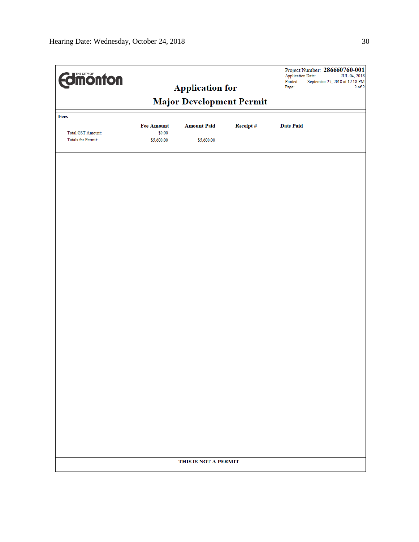| <b>Major Development Permit</b><br>Fees<br><b>Fee Amount</b><br><b>Amount Paid</b><br>Receipt#<br><b>Date Paid</b><br>\$0.00<br><b>Total GST Amount:</b><br><b>Totals for Permit:</b><br>\$5,600.00<br>\$5,600.00 | <b>Edimonton</b> | <b>Application for</b> | Project Number: 286660760-001<br><b>Application Date:</b><br>JUL 04, 2018<br>Printed:<br>September 25, 2018 at 12:18 PM<br>Page: | $2$ of $2$ |
|-------------------------------------------------------------------------------------------------------------------------------------------------------------------------------------------------------------------|------------------|------------------------|----------------------------------------------------------------------------------------------------------------------------------|------------|
|                                                                                                                                                                                                                   |                  |                        |                                                                                                                                  |            |
|                                                                                                                                                                                                                   |                  |                        |                                                                                                                                  |            |
|                                                                                                                                                                                                                   |                  |                        |                                                                                                                                  |            |
|                                                                                                                                                                                                                   |                  |                        |                                                                                                                                  |            |
|                                                                                                                                                                                                                   |                  |                        |                                                                                                                                  |            |
|                                                                                                                                                                                                                   |                  |                        |                                                                                                                                  |            |
|                                                                                                                                                                                                                   |                  |                        |                                                                                                                                  |            |
|                                                                                                                                                                                                                   |                  |                        |                                                                                                                                  |            |
|                                                                                                                                                                                                                   |                  |                        |                                                                                                                                  |            |
|                                                                                                                                                                                                                   |                  |                        |                                                                                                                                  |            |
|                                                                                                                                                                                                                   |                  |                        |                                                                                                                                  |            |
|                                                                                                                                                                                                                   |                  |                        |                                                                                                                                  |            |
|                                                                                                                                                                                                                   |                  |                        |                                                                                                                                  |            |
|                                                                                                                                                                                                                   |                  |                        |                                                                                                                                  |            |
|                                                                                                                                                                                                                   |                  |                        |                                                                                                                                  |            |
|                                                                                                                                                                                                                   |                  |                        |                                                                                                                                  |            |
|                                                                                                                                                                                                                   |                  |                        |                                                                                                                                  |            |
|                                                                                                                                                                                                                   |                  |                        |                                                                                                                                  |            |
|                                                                                                                                                                                                                   |                  |                        |                                                                                                                                  |            |
|                                                                                                                                                                                                                   |                  | THIS IS NOT A PERMIT   |                                                                                                                                  |            |